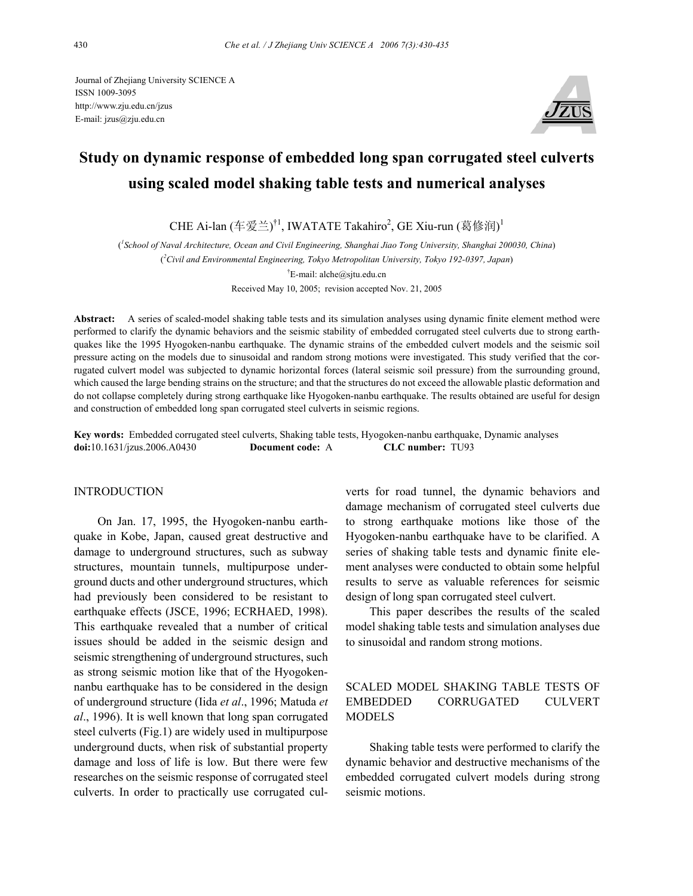Journal of Zhejiang University SCIENCE A ISSN 1009-3095 http://www.zju.edu.cn/jzus E-mail: jzus@zju.edu.cn



# **Study on dynamic response of embedded long span corrugated steel culverts using scaled model shaking table tests and numerical analyses**

CHE Ai-lan (车爱兰)†1, IWATATE Takahiro<sup>2</sup>, GE Xiu-run (葛修润)<sup>1</sup>

( *1 School of Naval Architecture, Ocean and Civil Engineering, Shanghai Jiao Tong University, Shanghai 200030, China*) ( *2 Civil and Environmental Engineering, Tokyo Metropolitan University, Tokyo 192-0397, Japan*) † E-mail: alche@sjtu.edu.cn Received May 10, 2005; revision accepted Nov. 21, 2005

**Abstract:** A series of scaled-model shaking table tests and its simulation analyses using dynamic finite element method were performed to clarify the dynamic behaviors and the seismic stability of embedded corrugated steel culverts due to strong earthquakes like the 1995 Hyogoken-nanbu earthquake. The dynamic strains of the embedded culvert models and the seismic soil pressure acting on the models due to sinusoidal and random strong motions were investigated. This study verified that the corrugated culvert model was subjected to dynamic horizontal forces (lateral seismic soil pressure) from the surrounding ground, which caused the large bending strains on the structure; and that the structures do not exceed the allowable plastic deformation and do not collapse completely during strong earthquake like Hyogoken-nanbu earthquake. The results obtained are useful for design and construction of embedded long span corrugated steel culverts in seismic regions.

**Key words:** Embedded corrugated steel culverts, Shaking table tests, Hyogoken-nanbu earthquake, Dynamic analyses **doi:**10.1631/jzus.2006.A0430 **Document code:** A **CLC number:** TU93

## INTRODUCTION

On Jan. 17, 1995, the Hyogoken-nanbu earthquake in Kobe, Japan, caused great destructive and damage to underground structures, such as subway structures, mountain tunnels, multipurpose underground ducts and other underground structures, which had previously been considered to be resistant to earthquake effects (JSCE, 1996; ECRHAED, 1998). This earthquake revealed that a number of critical issues should be added in the seismic design and seismic strengthening of underground structures, such as strong seismic motion like that of the Hyogokennanbu earthquake has to be considered in the design of underground structure (Iida *et al*., 1996; Matuda *et al*., 1996). It is well known that long span corrugated steel culverts (Fig.1) are widely used in multipurpose underground ducts, when risk of substantial property damage and loss of life is low. But there were few researches on the seismic response of corrugated steel culverts. In order to practically use corrugated culverts for road tunnel, the dynamic behaviors and damage mechanism of corrugated steel culverts due to strong earthquake motions like those of the Hyogoken-nanbu earthquake have to be clarified. A series of shaking table tests and dynamic finite element analyses were conducted to obtain some helpful results to serve as valuable references for seismic design of long span corrugated steel culvert.

This paper describes the results of the scaled model shaking table tests and simulation analyses due to sinusoidal and random strong motions.

## SCALED MODEL SHAKING TABLE TESTS OF EMBEDDED CORRUGATED CULVERT MODELS

Shaking table tests were performed to clarify the dynamic behavior and destructive mechanisms of the embedded corrugated culvert models during strong seismic motions.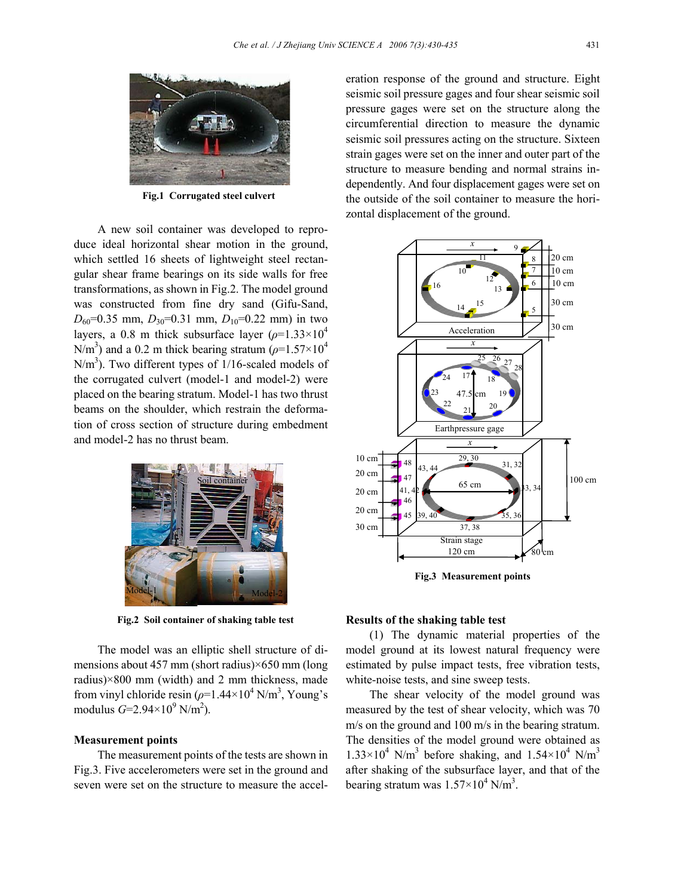

**Fig.1 Corrugated steel culvert** 

A new soil container was developed to reproduce ideal horizontal shear motion in the ground, which settled 16 sheets of lightweight steel rectangular shear frame bearings on its side walls for free transformations, as shown in Fig.2. The model ground was constructed from fine dry sand (Gifu-Sand,  $D_{60}$ =0.35 mm,  $D_{30}$ =0.31 mm,  $D_{10}$ =0.22 mm) in two layers, a 0.8 m thick subsurface layer  $(\rho=1.33\times10^4)$ N/m<sup>3</sup>) and a 0.2 m thick bearing stratum ( $\rho$ =1.57×10<sup>4</sup>  $N/m<sup>3</sup>$ ). Two different types of 1/16-scaled models of the corrugated culvert (model-1 and model-2) were placed on the bearing stratum. Model-1 has two thrust beams on the shoulder, which restrain the deformation of cross section of structure during embedment and model-2 has no thrust beam.



**Fig.2 Soil container of shaking table test** 

The model was an elliptic shell structure of dimensions about 457 mm (short radius)×650 mm (long radius)×800 mm (width) and 2 mm thickness, made from vinyl chloride resin  $(\rho = 1.44 \times 10^4 \text{ N/m}^3)$ , Young's modulus  $G=2.94\times10^9$  N/m<sup>2</sup>).

#### **Measurement points**

The measurement points of the tests are shown in Fig.3. Five accelerometers were set in the ground and seven were set on the structure to measure the acceleration response of the ground and structure. Eight seismic soil pressure gages and four shear seismic soil pressure gages were set on the structure along the circumferential direction to measure the dynamic seismic soil pressures acting on the structure. Sixteen strain gages were set on the inner and outer part of the structure to measure bending and normal strains independently. And four displacement gages were set on the outside of the soil container to measure the horizontal displacement of the ground.



### **Results of the shaking table test**

(1) The dynamic material properties of the model ground at its lowest natural frequency were estimated by pulse impact tests, free vibration tests, white-noise tests, and sine sweep tests.

The shear velocity of the model ground was measured by the test of shear velocity, which was 70 m/s on the ground and 100 m/s in the bearing stratum. The densities of the model ground were obtained as  $1.33 \times 10^4$  N/m<sup>3</sup> before shaking, and  $1.54 \times 10^4$  N/m<sup>3</sup> after shaking of the subsurface layer, and that of the bearing stratum was  $1.57 \times 10^4$  N/m<sup>3</sup>.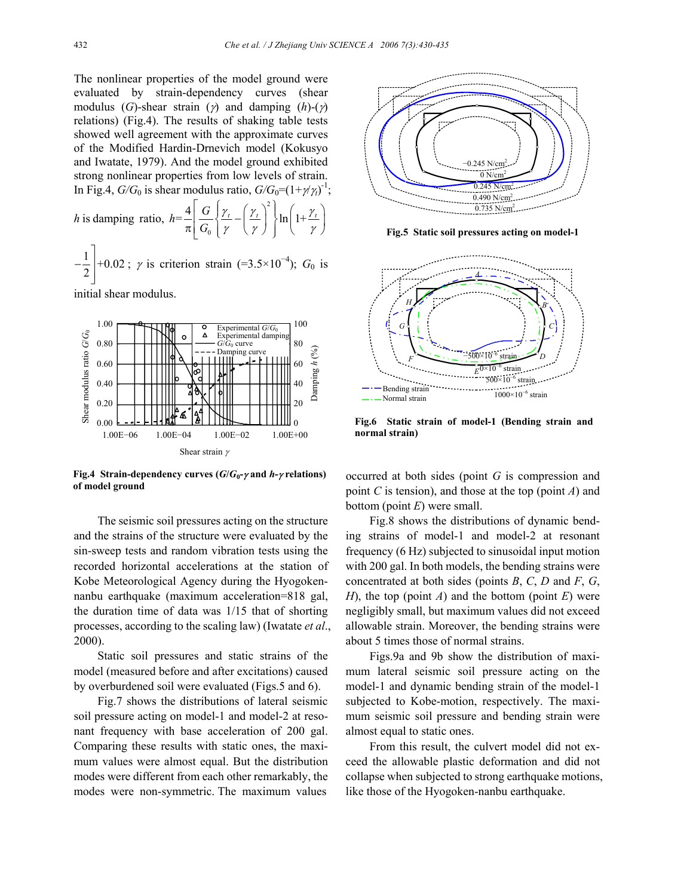The nonlinear properties of the model ground were evaluated by strain-dependency curves (shear modulus (*G*)-shear strain (γ) and damping (*h*)-(γ) relations) (Fig.4). The results of shaking table tests showed well agreement with the approximate curves of the Modified Hardin-Drnevich model (Kokusyo and Iwatate, 1979). And the model ground exhibited strong nonlinear properties from low levels of strain. In Fig.4, *G/G*<sub>0</sub> is shear modulus ratio,  $G/G_0=(1+\gamma/\gamma)^{-1}$ ;

*h* is damping ratio, 
$$
h = \frac{4}{\pi} \left[ \frac{G}{G_0} \left\{ \frac{\gamma_t}{\gamma} - \left( \frac{\gamma_t}{\gamma} \right)^2 \right\} \ln \left( 1 + \frac{\gamma_t}{\gamma} \right) \right]
$$
  
 $-\frac{1}{2} \left] +0.02$ ;  $\gamma$  is criterion strain (=3.5×10<sup>-4</sup>);  $G_0$  is

initial shear modulus.



**Fig.4 Strain-dependency curves**  $(G/G_0\nu)$  **and**  $h\nu$  **relations) of model ground** 

The seismic soil pressures acting on the structure and the strains of the structure were evaluated by the sin-sweep tests and random vibration tests using the recorded horizontal accelerations at the station of Kobe Meteorological Agency during the Hyogokennanbu earthquake (maximum acceleration=818 gal, the duration time of data was 1/15 that of shorting processes, according to the scaling law) (Iwatate *et al*., 2000).

Static soil pressures and static strains of the model (measured before and after excitations) caused by overburdened soil were evaluated (Figs.5 and 6).

Fig.7 shows the distributions of lateral seismic soil pressure acting on model-1 and model-2 at resonant frequency with base acceleration of 200 gal. Comparing these results with static ones, the maximum values were almost equal. But the distribution modes were different from each other remarkably, the modes were non-symmetric. The maximum values



 **Fig.5 Static soil pressures acting on model-1** 



**Fig.6 Static strain of model-1 (Bending strain and normal strain)** 

occurred at both sides (point *G* is compression and point *C* is tension), and those at the top (point *A*) and bottom (point *E*) were small.

Fig.8 shows the distributions of dynamic bending strains of model-1 and model-2 at resonant frequency (6 Hz) subjected to sinusoidal input motion with 200 gal. In both models, the bending strains were concentrated at both sides (points *B*, *C*, *D* and *F*, *G*, *H*), the top (point *A*) and the bottom (point *E*) were negligibly small, but maximum values did not exceed allowable strain. Moreover, the bending strains were about 5 times those of normal strains.

Figs.9a and 9b show the distribution of maximum lateral seismic soil pressure acting on the model-1 and dynamic bending strain of the model-1 subjected to Kobe-motion, respectively. The maximum seismic soil pressure and bending strain were almost equal to static ones.

From this result, the culvert model did not exceed the allowable plastic deformation and did not collapse when subjected to strong earthquake motions, like those of the Hyogoken-nanbu earthquake.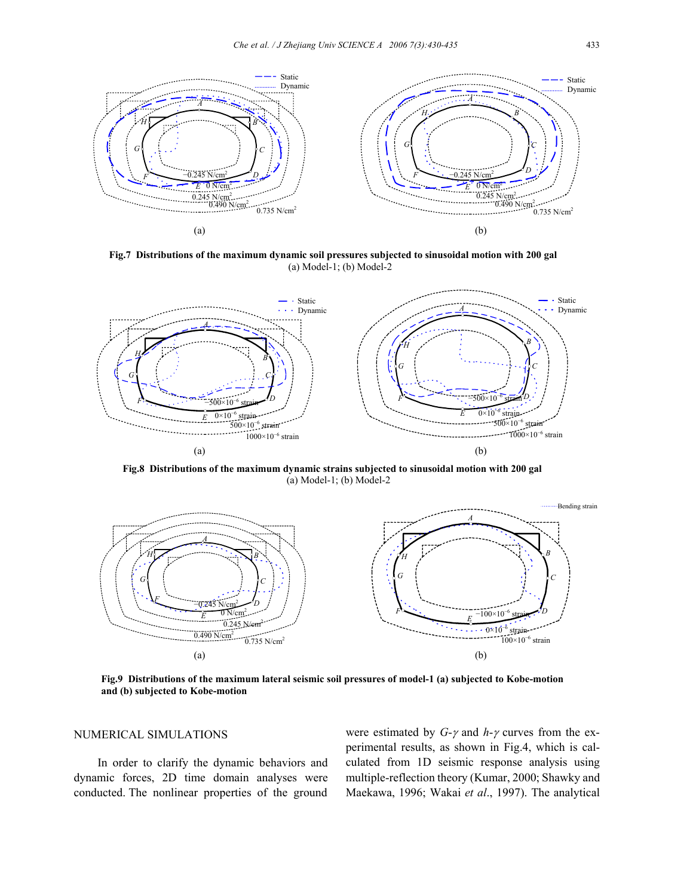

**Fig.7 Distributions of the maximum dynamic soil pressures subjected to sinusoidal motion with 200 gal**  (a) Model-1; (b) Model-2



**Fig.8 Distributions of the maximum dynamic strains subjected to sinusoidal motion with 200 gal**  (a) Model-1; (b) Model-2



**Fig.9 Distributions of the maximum lateral seismic soil pressures of model-1 (a) subjected to Kobe-motion and (b) subjected to Kobe-motion** 

## NUMERICAL SIMULATIONS

In order to clarify the dynamic behaviors and dynamic forces, 2D time domain analyses were conducted. The nonlinear properties of the ground

were estimated by *G*-γ and *h*-γ curves from the experimental results, as shown in Fig.4, which is calculated from 1D seismic response analysis using multiple-reflection theory (Kumar, 2000; Shawky and Maekawa, 1996; Wakai *et al*., 1997). The analytical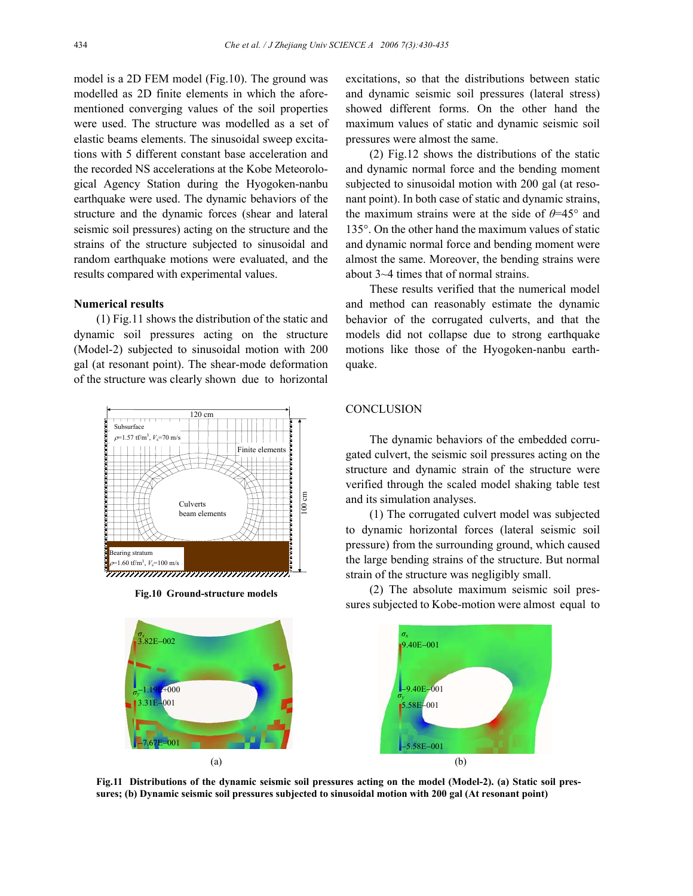model is a 2D FEM model (Fig.10). The ground was modelled as 2D finite elements in which the aforementioned converging values of the soil properties were used. The structure was modelled as a set of elastic beams elements. The sinusoidal sweep excitations with 5 different constant base acceleration and the recorded NS accelerations at the Kobe Meteorological Agency Station during the Hyogoken-nanbu earthquake were used. The dynamic behaviors of the structure and the dynamic forces (shear and lateral seismic soil pressures) acting on the structure and the strains of the structure subjected to sinusoidal and random earthquake motions were evaluated, and the results compared with experimental values.

## **Numerical results**

(1) Fig.11 shows the distribution of the static and dynamic soil pressures acting on the structure (Model-2) subjected to sinusoidal motion with 200 gal (at resonant point). The shear-mode deformation of the structure was clearly shown due to horizontal



**Fig.10 Ground-structure models** 



excitations, so that the distributions between static and dynamic seismic soil pressures (lateral stress) showed different forms. On the other hand the maximum values of static and dynamic seismic soil pressures were almost the same.

(2) Fig.12 shows the distributions of the static and dynamic normal force and the bending moment subjected to sinusoidal motion with 200 gal (at resonant point). In both case of static and dynamic strains, the maximum strains were at the side of *θ*=45° and 135°. On the other hand the maximum values of static and dynamic normal force and bending moment were almost the same. Moreover, the bending strains were about 3~4 times that of normal strains.

These results verified that the numerical model and method can reasonably estimate the dynamic behavior of the corrugated culverts, and that the models did not collapse due to strong earthquake motions like those of the Hyogoken-nanbu earthquake.

## **CONCLUSION**

The dynamic behaviors of the embedded corrugated culvert, the seismic soil pressures acting on the structure and dynamic strain of the structure were verified through the scaled model shaking table test and its simulation analyses.

(1) The corrugated culvert model was subjected to dynamic horizontal forces (lateral seismic soil pressure) from the surrounding ground, which caused the large bending strains of the structure. But normal strain of the structure was negligibly small.

(2) The absolute maximum seismic soil pressures subjected to Kobe-motion were almost equal to

**Fig.11 Distributions of the dynamic seismic soil pressures acting on the model (Model-2). (a) Static soil pressures; (b) Dynamic seismic soil pressures subjected to sinusoidal motion with 200 gal (At resonant point)**